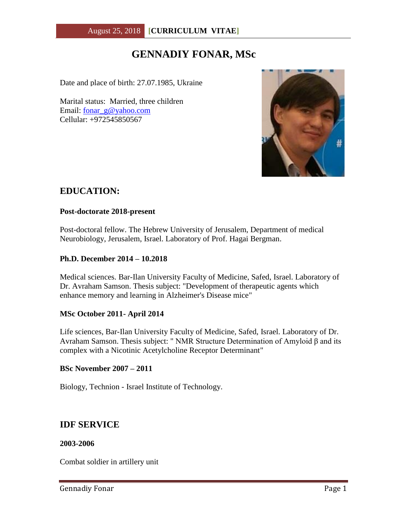# **GENNADIY FONAR, MSc**

Date and place of birth: 27.07.1985, Ukraine

Marital status: Married, three children Email: [fonar\\_g@yahoo.com](mailto:fonar_g@yahoo.com) Cellular: +972545850567



### **EDUCATION:**

#### **Post-doctorate 2018-present**

Post-doctoral fellow. The Hebrew University of Jerusalem, Department of medical Neurobiology, Jerusalem, Israel. Laboratory of Prof. Hagai Bergman.

#### **Ph.D. December 2014 – 10.2018**

Medical sciences. Bar-Ilan University Faculty of Medicine, Safed, Israel. Laboratory of Dr. Avraham Samson. Thesis subject: "Development of therapeutic agents which enhance memory and learning in Alzheimer's Disease mice"

#### **MSc October 2011- April 2014**

Life sciences, Bar-Ilan University Faculty of Medicine, Safed, Israel. Laboratory of Dr. Avraham Samson. Thesis subject: " NMR Structure Determination of Amyloid β and its complex with a Nicotinic Acetylcholine Receptor Determinant"

#### **BSc November 2007 – 2011**

Biology, Technion - Israel Institute of Technology.

### **IDF SERVICE**

#### **2003-2006**

Combat soldier in artillery unit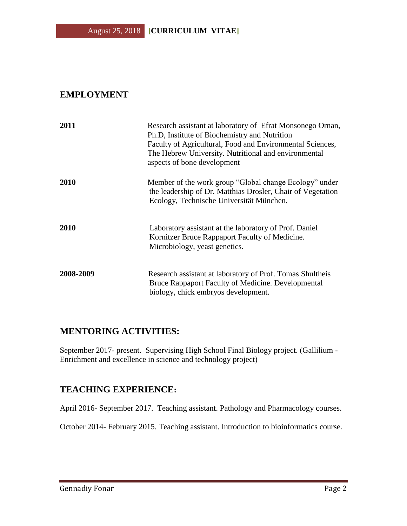# **EMPLOYMENT**

| 2011        | Research assistant at laboratory of Efrat Monsonego Ornan,<br>Ph.D, Institute of Biochemistry and Nutrition<br>Faculty of Agricultural, Food and Environmental Sciences,<br>The Hebrew University. Nutritional and environmental<br>aspects of bone development |
|-------------|-----------------------------------------------------------------------------------------------------------------------------------------------------------------------------------------------------------------------------------------------------------------|
| <b>2010</b> | Member of the work group "Global change Ecology" under<br>the leadership of Dr. Matthias Drosler, Chair of Vegetation<br>Ecology, Technische Universität München.                                                                                               |
| 2010        | Laboratory assistant at the laboratory of Prof. Daniel<br>Kornitzer Bruce Rappaport Faculty of Medicine.<br>Microbiology, yeast genetics.                                                                                                                       |
| 2008-2009   | Research assistant at laboratory of Prof. Tomas Shultheis<br>Bruce Rappaport Faculty of Medicine. Developmental<br>biology, chick embryos development.                                                                                                          |

## **MENTORING ACTIVITIES:**

September 2017- present. Supervising High School Final Biology project. (Gallilium - Enrichment and excellence in science and technology project)

## **TEACHING EXPERIENCE:**

April 2016- September 2017. Teaching assistant. Pathology and Pharmacology courses.

October 2014- February 2015. Teaching assistant. Introduction to bioinformatics course.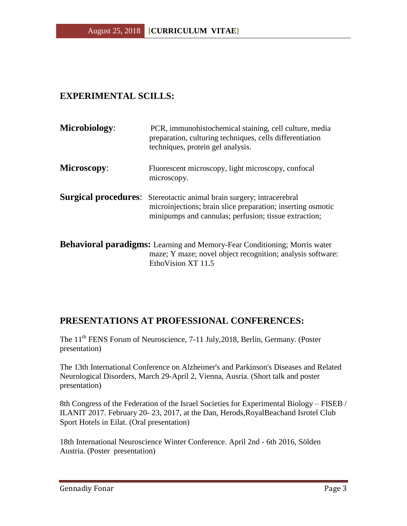# **EXPERIMENTAL SCILLS:**

| Microbiology:               | PCR, immunohistochemical staining, cell culture, media<br>preparation, culturing techniques, cells differentiation<br>techniques, protein gel analysis.                  |
|-----------------------------|--------------------------------------------------------------------------------------------------------------------------------------------------------------------------|
| <b>Microscopy:</b>          | Fluorescent microscopy, light microscopy, confocal<br>microscopy.                                                                                                        |
| <b>Surgical procedures:</b> | Stereotactic animal brain surgery; intracerebral<br>microinjections; brain slice preparation; inserting osmotic<br>minipumps and cannulas; perfusion; tissue extraction; |
|                             | <b>Rehavioral naradioms:</b> Learning and Memory-Fear Conditioning: Morris water                                                                                         |

**Behavioral paradigms:** Learning and Memory-Fear Conditioning; Morris water maze; Y maze; novel object recognition; analysis software: EthoVision XT 11.5

## **PRESENTATIONS AT PROFESSIONAL CONFERENCES:**

The 11<sup>th</sup> FENS Forum of Neuroscience, 7-11 July, 2018, Berlin, Germany. (Poster presentation)

The 13th International Conference on Alzheimer's and Parkinson's Diseases and Related Neurological Disorders, March 29-April 2, Vienna, Ausria. (Short talk and poster presentation)

8th Congress of the Federation of the Israel Societies for Experimental Biology – FISEB / ILANIT 2017. February 20- 23, 2017, at the Dan, Herods,RoyalBeachand Isrotel Club Sport Hotels in Eilat. (Oral presentation)

18th International Neuroscience Winter Conference. April 2nd - 6th 2016, Sölden Austria. (Poster presentation)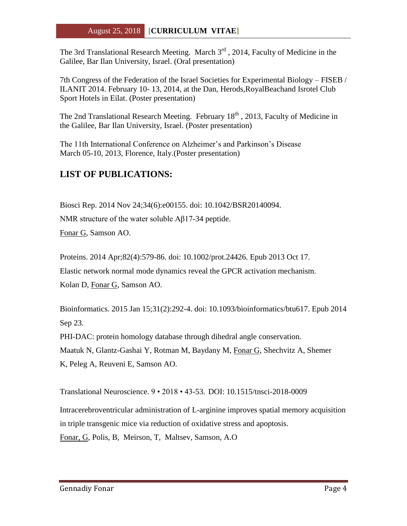The 3rd Translational Research Meeting. March  $3<sup>rd</sup>$ , 2014, Faculty of Medicine in the Galilee, Bar Ilan University, Israel. (Oral presentation)

7th Congress of the Federation of the Israel Societies for Experimental Biology – FISEB / ILANIT 2014. February 10- 13, 2014, at the Dan, Herods,RoyalBeachand Isrotel Club Sport Hotels in Eilat. (Poster presentation)

The 2nd Translational Research Meeting. February 18<sup>th</sup>, 2013, Faculty of Medicine in the Galilee, Bar Ilan University, Israel. (Poster presentation)

The 11th International Conference on Alzheimer's and Parkinson's Disease March 05-10, 2013, Florence, Italy.(Poster presentation)

# **LIST OF PUBLICATIONS:**

[Biosci Rep.](http://www.ncbi.nlm.nih.gov/pubmed/25284368) 2014 Nov 24;34(6):e00155. doi: 10.1042/BSR20140094.

NMR structure of the water soluble Aβ17-34 peptide.

[Fonar](http://www.ncbi.nlm.nih.gov/pubmed/?term=Fonar%20G%5BAuthor%5D&cauthor=true&cauthor_uid=25284368) G, [Samson AO.](http://www.ncbi.nlm.nih.gov/pubmed/?term=Samson%20AO%5BAuthor%5D&cauthor=true&cauthor_uid=25284368)

[Proteins.](http://www.ncbi.nlm.nih.gov/pubmed/24123518) 2014 Apr;82(4):579-86. doi: 10.1002/prot.24426. Epub 2013 Oct 17. Elastic network normal mode dynamics reveal the GPCR activation mechanism. [Kolan D,](http://www.ncbi.nlm.nih.gov/pubmed/?term=Kolan%20D%5BAuthor%5D&cauthor=true&cauthor_uid=24123518) [Fonar](http://www.ncbi.nlm.nih.gov/pubmed/?term=Fonar%20G%5BAuthor%5D&cauthor=true&cauthor_uid=24123518) G, [Samson AO.](http://www.ncbi.nlm.nih.gov/pubmed/?term=Samson%20AO%5BAuthor%5D&cauthor=true&cauthor_uid=24123518)

[Bioinformatics.](http://www.ncbi.nlm.nih.gov/pubmed/25252780) 2015 Jan 15;31(2):292-4. doi: 10.1093/bioinformatics/btu617. Epub 2014 Sep 23.

PHI-DAC: protein homology database through dihedral angle conservation. [Maatuk N,](http://www.ncbi.nlm.nih.gov/pubmed/?term=Maatuk%20N%5BAuthor%5D&cauthor=true&cauthor_uid=25252780) [Glantz-Gashai Y,](http://www.ncbi.nlm.nih.gov/pubmed/?term=Glantz-Gashai%20Y%5BAuthor%5D&cauthor=true&cauthor_uid=25252780) [Rotman M,](http://www.ncbi.nlm.nih.gov/pubmed/?term=Rotman%20M%5BAuthor%5D&cauthor=true&cauthor_uid=25252780) [Baydany M,](http://www.ncbi.nlm.nih.gov/pubmed/?term=Baydany%20M%5BAuthor%5D&cauthor=true&cauthor_uid=25252780) [Fonar](http://www.ncbi.nlm.nih.gov/pubmed/?term=Fonar%20G%5BAuthor%5D&cauthor=true&cauthor_uid=25252780) G, [Shechvitz A,](http://www.ncbi.nlm.nih.gov/pubmed/?term=Shechvitz%20A%5BAuthor%5D&cauthor=true&cauthor_uid=25252780) Shemer [K,](http://www.ncbi.nlm.nih.gov/pubmed/?term=Shemer%20K%5BAuthor%5D&cauthor=true&cauthor_uid=25252780) [Peleg A,](http://www.ncbi.nlm.nih.gov/pubmed/?term=Peleg%20A%5BAuthor%5D&cauthor=true&cauthor_uid=25252780) [Reuveni E,](http://www.ncbi.nlm.nih.gov/pubmed/?term=Reuveni%20E%5BAuthor%5D&cauthor=true&cauthor_uid=25252780) [Samson AO.](http://www.ncbi.nlm.nih.gov/pubmed/?term=Samson%20AO%5BAuthor%5D&cauthor=true&cauthor_uid=25252780)

Translational Neuroscience. 9 • 2018 • 43-53. DOI: 10.1515/tnsci-2018-0009

Intracerebroventricular administration of L-arginine improves spatial memory acquisition in triple transgenic mice via reduction of oxidative stress and apoptosis. Fonar, G, Polis, B, Meirson, T, Maltsev, Samson, A.O